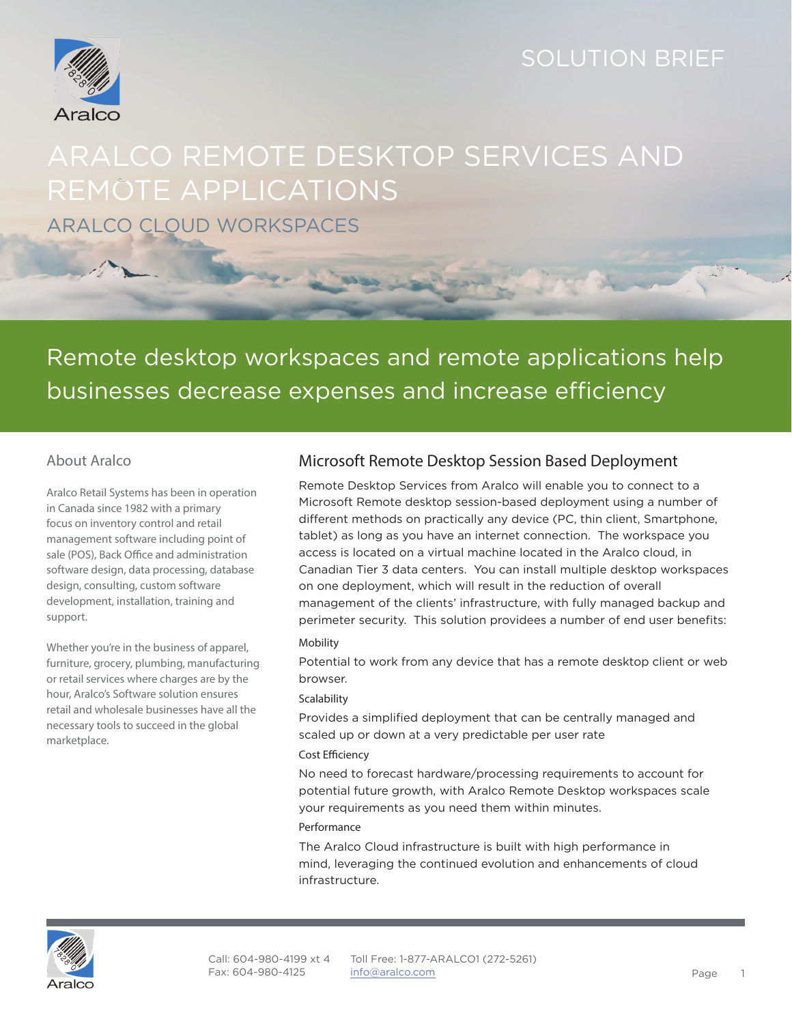## SOLUTION BRIEF



# ARALCO REMOTE DESKTOP SERVICES AND REMOTE APPLICATIONS ARALCO CLOUD WORKSPACES

# Remote desktop workspaces and remote applications help businesses decrease expenses and increase efficiency

#### About Aralco

Aralco Retail Systems has been in operation in Canada since 1982 with a primary focus on inventory control and retail management software including point of sale (POS), Back Office and administration software design, data processing, database design, consulting, custom software development, installation, training and support.

Whether you're in the business of apparel, furniture, grocery, plumbing, manufacturing or retail services where charges are by the hour, Aralco's Software solution ensures retail and wholesale businesses have all the necessary tools to succeed in the global marketplace.

#### Microsoft Remote Desktop Session Based Deployment

Remote Desktop Services from Aralco will enable you to connect to a Microsoft Remote desktop session-based deployment using a number of different methods on practically any device (PC, thin client, Smartphone, tablet) as long as you have an internet connection. The workspace you access is located on a virtual machine located in the Aralco cloud, in Canadian Tier 3 data centers. You can install multiple desktop workspaces on one deployment, which will result in the reduction of overall management of the clients' infrastructure, with fully managed backup and perimeter security. This solution providees a number of end user benefits:

#### Mobility

Potential to work from any device that has a remote desktop client or web browser.

#### **Scalability**

Provides a simplified deployment that can be centrally managed and scaled up or down at a very predictable per user rate

#### Cost Efficiency

No need to forecast hardware/processing requirements to account for potential future growth, with Aralco Remote Desktop workspaces scale your requirements as you need them within minutes.

#### Performance

The Aralco Cloud infrastructure is built with high performance in mind, leveraging the continued evolution and enhancements of cloud infrastructure.

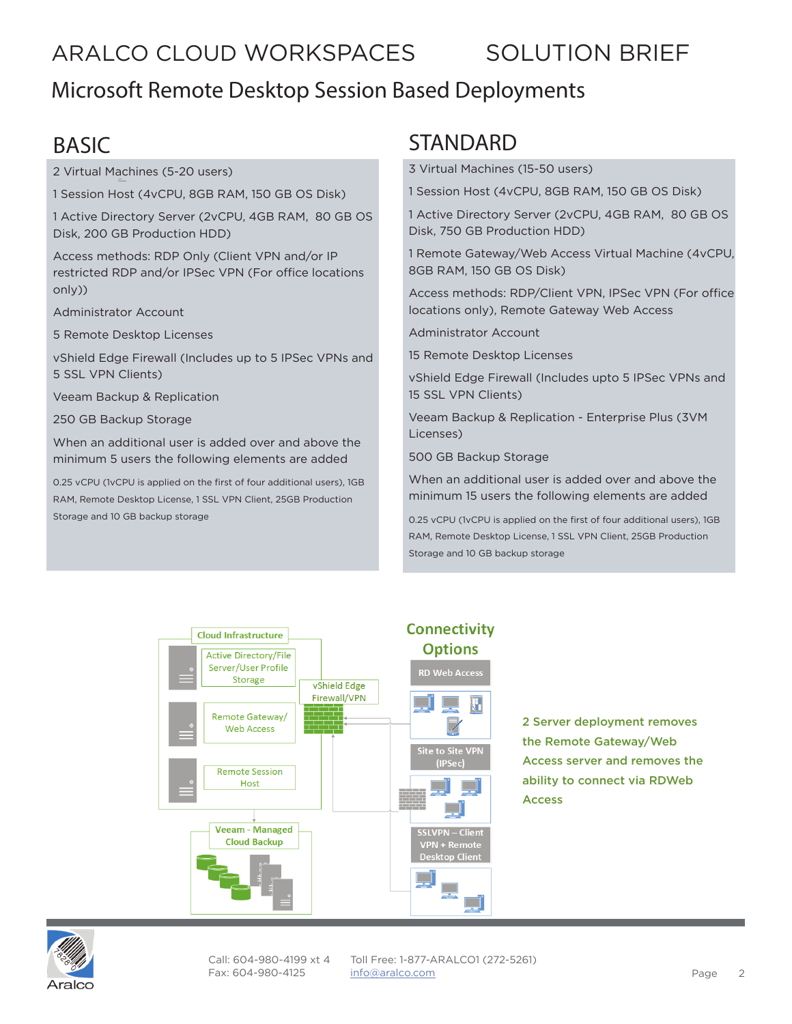# ARALCO CLOUD WORKSPACES SOLUTION BRIEF

## Microsoft Remote Desktop Session Based Deployments

# BASIC

2 Virtual Machines (5-20 users)

1 Session Host (4vCPU, 8GB RAM, 150 GB OS Disk)

1 Active Directory Server (2vCPU, 4GB RAM, 80 GB OS Disk, 200 GB Production HDD)

Access methods: RDP Only (Client VPN and/or IP restricted RDP and/or IPSec VPN (For office locations only))

Administrator Account

5 Remote Desktop Licenses

vShield Edge Firewall (Includes up to 5 IPSec VPNs and 5 SSL VPN Clients)

Veeam Backup & Replication

250 GB Backup Storage

When an additional user is added over and above the minimum 5 users the following elements are added

0.25 vCPU (1vCPU is applied on the first of four additional users), 1GB RAM, Remote Desktop License, 1 SSL VPN Client, 25GB Production Storage and 10 GB backup storage

### **STANDARD**

3 Virtual Machines (15-50 users)

1 Session Host (4vCPU, 8GB RAM, 150 GB OS Disk)

1 Active Directory Server (2vCPU, 4GB RAM, 80 GB OS Disk, 750 GB Production HDD)

1 Remote Gateway/Web Access Virtual Machine (4vCPU, 8GB RAM, 150 GB OS Disk)

Access methods: RDP/Client VPN, IPSec VPN (For office locations only), Remote Gateway Web Access

Administrator Account

15 Remote Desktop Licenses

vShield Edge Firewall (Includes upto 5 IPSec VPNs and 15 SSL VPN Clients)

Veeam Backup & Replication - Enterprise Plus (3VM Licenses)

500 GB Backup Storage

When an additional user is added over and above the minimum 15 users the following elements are added

0.25 vCPU (1vCPU is applied on the first of four additional users), 1GB RAM, Remote Desktop License, 1 SSL VPN Client, 25GB Production Storage and 10 GB backup storage



2 Server deployment removes the Remote Gateway/Web Access server and removes the ability to connect via RDWeb Access



Call: 604-980-4199 xt 4 Fax: 604-980-4125

Toll Free: 1-877-ARALCO1 (272-5261) info@hostedbizz.com Page 2 info@aralco.com